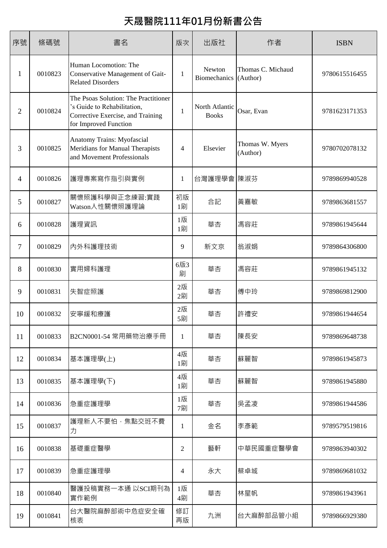## **天晟醫院111年01月份新書公告**

| 序號             | 條碼號     | 書名                                                                                                                                | 版次           | 出版社                            | 作者                            | <b>ISBN</b>   |
|----------------|---------|-----------------------------------------------------------------------------------------------------------------------------------|--------------|--------------------------------|-------------------------------|---------------|
| 1              | 0010823 | Human Locomotion: The<br>Conservative Management of Gait-<br><b>Related Disorders</b>                                             | 1            | Newton<br><b>Biomechanics</b>  | Thomas C. Michaud<br>(Author) | 9780615516455 |
| $\overline{2}$ | 0010824 | The Psoas Solution: The Practitioner<br>'s Guide to Rehabilitation,<br>Corrective Exercise, and Training<br>for Improved Function | $\mathbf{1}$ | North Atlantic<br><b>Books</b> | Osar, Evan                    | 9781623171353 |
| 3              | 0010825 | Anatomy Trains: Myofascial<br>Meridians for Manual Therapists<br>and Movement Professionals                                       | 4            | Elsevier                       | Thomas W. Myers<br>(Author)   | 9780702078132 |
| 4              | 0010826 | 護理專案寫作指引與實例                                                                                                                       | 1            | 台灣護理學會 陳淑芬                     |                               | 9789869940528 |
| 5              | 0010827 | 關懷照護科學與正念練習:實踐<br>Watson人性關懷照護理論                                                                                                  | 初版<br>1刷     | 合記                             | 黃嘉敏                           | 9789863681557 |
| 6              | 0010828 | 護理資訊                                                                                                                              | 1版<br>1刷     | 華杏                             | 馮容莊                           | 9789861945644 |
| 7              | 0010829 | 內外科護理技術                                                                                                                           | 9            | 新文京                            | 翁淑娟                           | 9789864306800 |
| 8              | 0010830 | 實用婦科護理                                                                                                                            | 6版3<br>刷     | 華杏                             | 馮容莊                           | 9789861945132 |
| 9              | 0010831 | 失智症照護                                                                                                                             | 2版<br>2刷     | 華杏                             | 傅中玲                           | 9789869812900 |
| 10             | 0010832 | 安寧緩和療護                                                                                                                            | 2版<br>5刷     | 華杏                             | 許禮安                           | 9789861944654 |
| 11             | 0010833 | B2CN0001-54 常用藥物治療手冊                                                                                                              | 1            | 華杏                             | 陳長安                           | 9789869648738 |
| 12             | 0010834 | 基本護理學(上)                                                                                                                          | 4版<br>1刷     | 華杏                             | 蘇麗智                           | 9789861945873 |
| 13             | 0010835 | 基本護理學(下)                                                                                                                          | 4版<br>1刷     | 華杏                             | 蘇麗智                           | 9789861945880 |
| 14             | 0010836 | 急重症護理學                                                                                                                            | 1版<br>7刷     | 華杏                             | 吳孟凌                           | 9789861944586 |
| 15             | 0010837 | 護理新人不要怕,焦點交班不費 <br>力                                                                                                              | 1            | 金名                             | 李彥範                           | 9789579519816 |
| 16             | 0010838 | 基礎重症醫學                                                                                                                            | 2            | 藝軒                             | 中華民國重症醫學會                     | 9789863940302 |
| 17             | 0010839 | 急重症護理學                                                                                                                            | 4            | 永大                             | 蔡卓城                           | 9789869681032 |
| 18             | 0010840 | 醫護投稿實務一本通以SCI期刊為<br>實作範例                                                                                                          | 1版<br>4刷     | 華杏                             | 林星帆                           | 9789861943961 |
| 19             | 0010841 | 台大醫院麻醉部術中危症安全確<br>核表                                                                                                              | 修訂<br>再版     | 九洲                             | 台大麻醉部品管小組                     | 9789866929380 |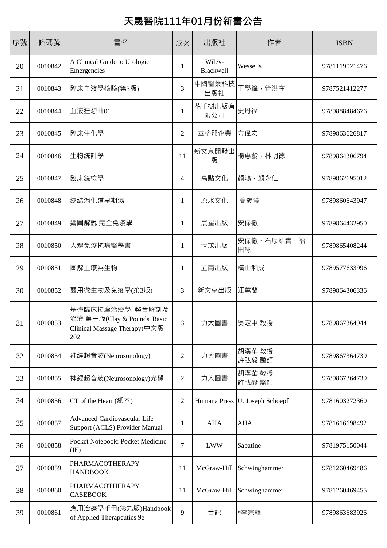## **天晟醫院111年01月份新書公告**

| 序號 | 條碼號     | 書名                                                                                      | 版次             | 出版社                 | 作者                | <b>ISBN</b>   |
|----|---------|-----------------------------------------------------------------------------------------|----------------|---------------------|-------------------|---------------|
| 20 | 0010842 | A Clinical Guide to Urologic<br>Emergencies                                             | 1              | Wiley-<br>Blackwell | Wessells          | 9781119021476 |
| 21 | 0010843 | 臨床血液學檢驗(第3版)                                                                            | 3              | 中國醫藥科技<br>出版社       | 王學鋒,管洪在           | 9787521412277 |
| 22 | 0010844 | 血液狂想曲01                                                                                 | $\mathbf{1}$   | 花千樹出版有<br>限公司       | 史丹福               | 9789888484676 |
| 23 | 0010845 | 臨床生化學                                                                                   | $\overline{2}$ | 華格那企業               | 方偉宏               | 9789863626817 |
| 24 | 0010846 | 生物統計學                                                                                   | 11             | 新文京開發出<br>版         | 楊惠齡,林明德           | 9789864306794 |
| 25 | 0010847 | 臨床鏡檢學                                                                                   | 4              | 高點文化                | 顏鴻,顏永仁            | 9789862695012 |
| 26 | 0010848 | 終結消化道早期癌                                                                                | 1              | 原水文化                | 簡錫淵               | 9789860643947 |
| 27 | 0010849 | 繪圖解說 完全免疫學                                                                              | $\mathbf{1}$   | 晨星出版                | 安保徹               | 9789864432950 |
| 28 | 0010850 | 人體免疫抗病醫學書                                                                               | 1              | 世茂出版                | 安保徹、石原結實、福<br>田稔  | 9789865408244 |
| 29 | 0010851 | 圖解土壤為生物                                                                                 | 1              | 五南出版                | 橫山和成              | 9789577633996 |
| 30 | 0010852 | 醫用微生物及免疫學(第3版)                                                                          | 3              | 新文京出版               | 汪蕙蘭               | 9789864306336 |
| 31 | 0010853 | 基礎臨床按摩治療學: 整合解剖及<br>治療 第三版(Clay & Pounds' Basic<br>Clinical Massage Therapy)中文版<br>2021 | 3              | 力大圖書                | 吳定中 教授            | 9789867364944 |
| 32 | 0010854 | 神經超音波(Neurosonology)                                                                    | 2              | 力大圖書                | 胡漢華 教授<br>許弘毅 醫師  | 9789867364739 |
| 33 | 0010855 | 神經超音波(Neurosonology)光碟                                                                  | $\overline{2}$ | 力大圖書                | 胡漢華 教授<br>許弘毅 醫師  | 9789867364739 |
| 34 | 0010856 | CT of the Heart $(4\pi\bar{4})$                                                         | $\overline{2}$ | Humana Press        | U. Joseph Schoepf | 9781603272360 |
| 35 | 0010857 | <b>Advanced Cardiovascular Life</b><br>Support (ACLS) Provider Manual                   | 1              | <b>AHA</b>          | <b>AHA</b>        | 9781616698492 |
| 36 | 0010858 | Pocket Notebook: Pocket Medicine<br>(IE)                                                | $\tau$         | <b>LWW</b>          | Sabatine          | 9781975150044 |
| 37 | 0010859 | PHARMACOTHERAPY<br><b>HANDBOOK</b>                                                      | 11             | McGraw-Hill         | Schwinghammer     | 9781260469486 |
| 38 | 0010860 | PHARMACOTHERAPY<br><b>CASEBOOK</b>                                                      | 11             | McGraw-Hill         | Schwinghammer     | 9781260469455 |
| 39 | 0010861 | 應用治療學手冊(第九版)Handbook<br>of Applied Therapeutics 9e                                      | 9              | 合記                  | *李宗翰              | 9789863683926 |